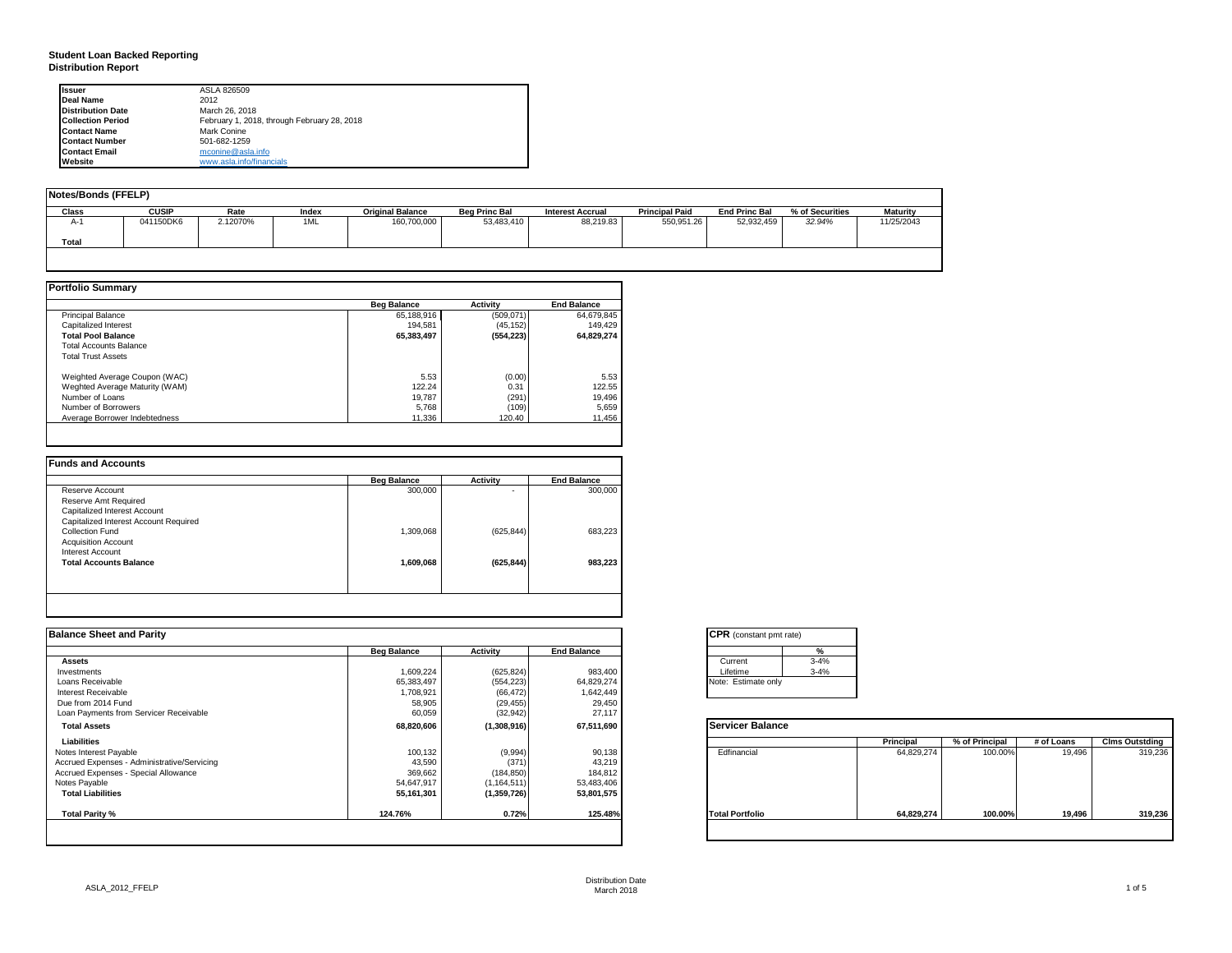### **Student Loan Backed Reporting Distribution Report**

| <b>Issuer</b>            | ASLA 826509                                 |  |
|--------------------------|---------------------------------------------|--|
| Deal Name                | 2012                                        |  |
| <b>Distribution Date</b> | March 26, 2018                              |  |
| <b>Collection Period</b> | February 1, 2018, through February 28, 2018 |  |
| <b>Contact Name</b>      | Mark Conine                                 |  |
| <b>Contact Number</b>    | 501-682-1259                                |  |
| <b>Contact Email</b>     | mconine@asla.info                           |  |
| Website                  | www.asla.info/financials                    |  |

| Notes/Bonds (FFELP) |              |          |       |                         |                      |                         |                       |                      |                 |            |
|---------------------|--------------|----------|-------|-------------------------|----------------------|-------------------------|-----------------------|----------------------|-----------------|------------|
| Class               | <b>CUSIP</b> | Rate     | Index | <b>Original Balance</b> | <b>Beg Princ Bal</b> | <b>Interest Accrual</b> | <b>Principal Paid</b> | <b>End Princ Bal</b> | % of Securities | Maturity   |
| $A-$                | 041150DK6    | 2.12070% | 1ML   | 160,700,000             | 53,483,410           | 88.219.83               | 550.951.26            | 52.932.459           | 32.94%          | 11/25/2043 |
| <b>Total</b>        |              |          |       |                         |                      |                         |                       |                      |                 |            |
|                     |              |          |       |                         |                      |                         |                       |                      |                 |            |

|                                | <b>Beg Balance</b> | <b>Activity</b> | <b>End Balance</b> |
|--------------------------------|--------------------|-----------------|--------------------|
| <b>Principal Balance</b>       | 65,188,916         | (509, 071)      | 64.679.845         |
| Capitalized Interest           | 194.581            | (45, 152)       | 149.429            |
| <b>Total Pool Balance</b>      | 65,383,497         | (554, 223)      | 64,829,274         |
| <b>Total Accounts Balance</b>  |                    |                 |                    |
| <b>Total Trust Assets</b>      |                    |                 |                    |
| Weighted Average Coupon (WAC)  | 5.53               | (0.00)          | 5.53               |
| Weghted Average Maturity (WAM) | 122.24             | 0.31            | 122.55             |
| Number of Loans                | 19.787             | (291)           | 19,496             |
| Number of Borrowers            | 5.768              | (109)           | 5,659              |
| Average Borrower Indebtedness  | 11,336             | 120.40          | 11,456             |

| <b>Beg Balance</b> | <b>Activity</b> | <b>End Balance</b> |
|--------------------|-----------------|--------------------|
| 300,000            | ٠               | 300,000            |
|                    |                 |                    |
|                    |                 |                    |
|                    |                 |                    |
| 1.309.068          | (625, 844)      | 683.223            |
|                    |                 |                    |
|                    |                 |                    |
| 1,609,068          | (625, 844)      | 983.223            |
|                    |                 |                    |
|                    |                 |                    |

| <b>Balance Sheet and Parity</b>             |                    |               |                    | <b>CPR</b> (constant pmt rate) |            |                |            |                       |
|---------------------------------------------|--------------------|---------------|--------------------|--------------------------------|------------|----------------|------------|-----------------------|
|                                             | <b>Beg Balance</b> | Activity      | <b>End Balance</b> | $\%$                           |            |                |            |                       |
| <b>Assets</b>                               |                    |               |                    | $3 - 4%$<br>Current            |            |                |            |                       |
| Investments                                 | 1,609,224          | (625, 824)    | 983,400            | $3 - 4%$<br>Lifetime           |            |                |            |                       |
| Loans Receivable                            | 65,383,497         | (554, 223)    | 64,829,274         | Note: Estimate only            |            |                |            |                       |
| Interest Receivable                         | 1,708,921          | (66, 472)     | 1,642,449          |                                |            |                |            |                       |
| Due from 2014 Fund                          | 58,905             | (29, 455)     | 29,450             |                                |            |                |            |                       |
| Loan Payments from Servicer Receivable      | 60,059             | (32, 942)     | 27,117             |                                |            |                |            |                       |
| <b>Total Assets</b>                         | 68,820,606         | (1,308,916)   | 67,511,690         | Servicer Balance               |            |                |            |                       |
| Liabilities                                 |                    |               |                    |                                | Principal  | % of Principal | # of Loans | <b>Clms Outstding</b> |
| Notes Interest Payable                      | 100,132            | (9,994)       | 90,138             | Edfinancial                    | 64,829,274 | 100.00%        | 19,496     | 319,236               |
| Accrued Expenses - Administrative/Servicing | 43,590             | (371)         | 43,219             |                                |            |                |            |                       |
| Accrued Expenses - Special Allowance        | 369,662            | (184, 850)    | 184,812            |                                |            |                |            |                       |
| Notes Payable                               | 54,647,917         | (1, 164, 511) | 53,483,406         |                                |            |                |            |                       |
| <b>Total Liabilities</b>                    | 55,161,301         | (1,359,726)   | 53,801,575         |                                |            |                |            |                       |
| Total Parity %                              | 124.76%            | 0.72%         | 125.48%            | <b>Total Portfolio</b>         | 64,829,274 | 100.00%        | 19,496     | 319,236               |
|                                             |                    |               |                    |                                |            |                |            |                       |

| CPR (constant pmt rate) |          |
|-------------------------|----------|
|                         | %        |
| Current                 | $3 - 4%$ |
| Lifetime                | $3 - 4%$ |
| Note: Estimate only     |          |

|                        | Principal  | % of Principal | # of Loans | <b>Clms Outstding</b> |
|------------------------|------------|----------------|------------|-----------------------|
| Edfinancial            | 64,829,274 | 100.00%        | 19,496     | 319,236               |
| <b>Total Portfolio</b> | 64,829,274 | 100.00%        | 19,496     | 319,236               |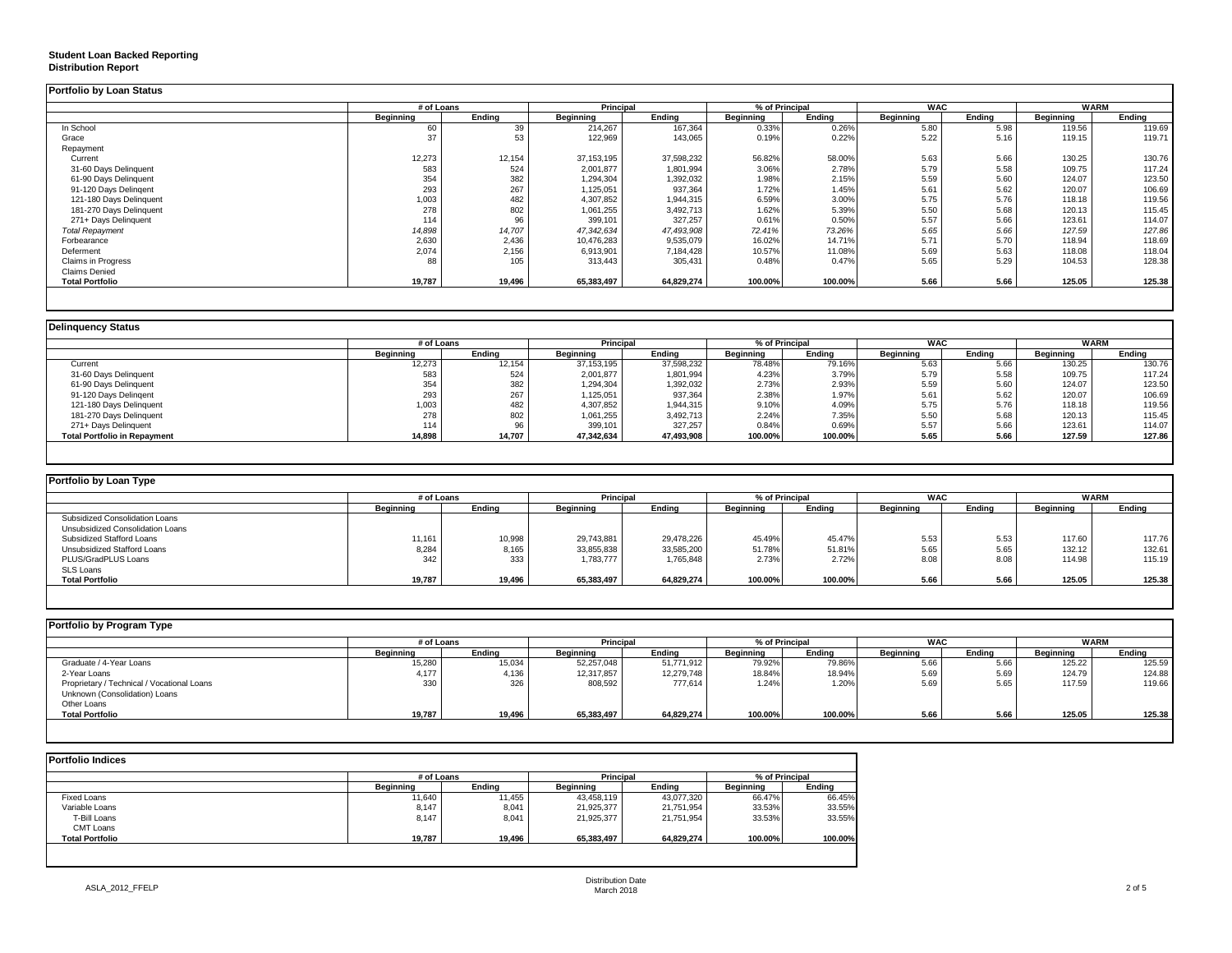### **Student Loan Backed Reporting**

#### **Distribution Report**

|                           | # of Loans |        | <b>Principal</b> |            | % of Principal   |         | <b>WAC</b> |        | <b>WARM</b> |        |
|---------------------------|------------|--------|------------------|------------|------------------|---------|------------|--------|-------------|--------|
|                           | Beginning  | Endina | Beginning        | Ending     | <b>Beginning</b> | Ending  | Beginning  | Ending | Beginning   | Ending |
| In School                 | 60         | 39     | 214,267          | 167,364    | 0.33%            | 0.26%   | 5.80       | 5.98   | 119.56      | 119.69 |
| Grace                     | 37         | 53     | 122,969          | 143,065    | 0.19%            | 0.22%   | 5.22       | 5.16   | 119.15      | 119.71 |
| Repayment                 |            |        |                  |            |                  |         |            |        |             |        |
| Current                   | 12,273     | 12,154 | 37,153,195       | 37,598,232 | 56.82%           | 58.00%  | 5.63       | 5.66   | 130.25      | 130.76 |
| 31-60 Days Delinquent     | 583        | 524    | 2,001,877        | 1,801,994  | 3.06%            | 2.78%   | 5.79       | 5.58   | 109.75      | 117.24 |
| 61-90 Days Delinquent     | 354        | 382    | 1,294,304        | 1,392,032  | 1.98%            | 2.15%   | 5.59       | 5.60   | 124.07      | 123.50 |
| 91-120 Days Delingent     | 293        | 267    | 1,125,051        | 937,364    | 1.72%            | 1.45%   | 5.61       | 5.62   | 120.07      | 106.69 |
| 121-180 Days Delinquent   | 1,003      | 482    | 4,307,852        | 1,944,315  | 6.59%            | 3.00%   | 5.75       | 5.76   | 118.18      | 119.56 |
| 181-270 Days Delinquent   | 278        | 802    | 1,061,255        | 3,492,713  | 1.62%            | 5.39%   | 5.50       | 5.68   | 120.13      | 115.45 |
| 271+ Days Delinquent      | 114        | 96     | 399,101          | 327,257    | 0.61%            | 0.50%   | 5.57       | 5.66   | 123.61      | 114.07 |
| <b>Total Repayment</b>    | 14,898     | 14,707 | 47,342,634       | 47,493,908 | 72.41%           | 73.26%  | 5.65       | 5.66   | 127.59      | 127.86 |
| Forbearance               | 2,630      | 2,436  | 10,476,283       | 9,535,079  | 16.02%           | 14.71%  | 5.71       | 5.70   | 118.94      | 118.69 |
| Deferment                 | 2,074      | 2,156  | 6,913,901        | 7,184,428  | 10.57%           | 11.08%  | 5.69       | 5.63   | 118.08      | 118.04 |
| <b>Claims in Progress</b> | 88         | 105    | 313,443          | 305,431    | 0.48%            | 0.47%   | 5.65       | 5.29   | 104.53      | 128.38 |
| <b>Claims Denied</b>      |            |        |                  |            |                  |         |            |        |             |        |
| <b>Total Portfolio</b>    | 19,787     | 19,496 | 65,383,497       | 64,829,274 | 100.00%          | 100.00% | 5.66       | 5.66   | 125.05      | 125.38 |

|                                     | # of Loans |        | <b>Principal</b> |            | % of Principal   |         | <b>WAC</b>       |        | <b>WARM</b>      |        |
|-------------------------------------|------------|--------|------------------|------------|------------------|---------|------------------|--------|------------------|--------|
|                                     | Beginning  | Ending | Beginning        | Ending     | <b>Beginning</b> | Ending  | <b>Beginning</b> | Endina | <b>Beginning</b> | Ending |
| Current                             | 12,273     | 12.154 | 37, 153, 195     | 37,598,232 | 78.48%           | 79.16%  | 5.63             | 5.66   | 130.25           | 130.76 |
| 31-60 Days Delinquent               | 583        | 524    | 2,001,877        | 1,801,994  | 4.23%            | 3.79%   | 5.79             | 5.58   | 109.75           | 117.24 |
| 61-90 Days Delinquent               | 354        | 382    | 1,294,304        | 1,392,032  | 2.73%            | 2.93%   | 5.59             | 5.60   | 124.07           | 123.50 |
| 91-120 Days Delingent               | 293        | 267    | 1,125,051        | 937,364    | 2.38%            | 1.97%   | 5.61             | 5.62   | 120.07           | 106.69 |
| 121-180 Days Delinquent             | 1,003      | 482    | 4,307,852        | 1,944,315  | 9.10%            | 4.09%   | 5.75             | 5.76   | 118.18           | 119.56 |
| 181-270 Days Delinquent             | 278        | 802    | 1,061,255        | 3,492,713  | 2.24%            | 7.35%   | 5.50             | 5.68   | 120.13           | 115.45 |
| 271+ Days Delinquent                | 114        |        | 399,101          | 327,257    | 0.84%            | 0.69%   | 5.57             | 5.66   | 123.61           | 114.07 |
| <b>Total Portfolio in Repayment</b> | 14,898     | 14,707 | 47,342,634       | 47,493,908 | 100.00%          | 100.00% | 5.65             | 5.66   | 127.59           | 127.86 |

| Portfolio by Loan Type           |                  |        |                  |                             |                  |         |                  |        |             |        |
|----------------------------------|------------------|--------|------------------|-----------------------------|------------------|---------|------------------|--------|-------------|--------|
|                                  | # of Loans       |        |                  | Principal<br>% of Principal |                  |         | <b>WAC</b>       |        | <b>WARM</b> |        |
|                                  | <b>Beginning</b> | Ending | <b>Beginning</b> | Ending                      | <b>Beainning</b> | Ending  | <b>Beginning</b> | Ending | Beginning   | Ending |
| Subsidized Consolidation Loans   |                  |        |                  |                             |                  |         |                  |        |             |        |
| Unsubsidized Consolidation Loans |                  |        |                  |                             |                  |         |                  |        |             |        |
| Subsidized Stafford Loans        | 11,161           | 10,998 | 29.743.881       | 29.478.226                  | 45.49%           | 45.47%  | 5.53             | 5.53   | 117.60      | 117.76 |
| Unsubsidized Stafford Loans      | 8,284            | 8,165  | 33,855,838       | 33,585,200                  | 51.78%           | 51.81%  | 5.65             | 5.65   | 132.12      | 132.61 |
| PLUS/GradPLUS Loans              | 342              | 333    | 1,783,777        | 1,765,848                   | 2.73%            | 2.72%   | 8.08             | 8.08   | 114.98      | 115.19 |
| SLS Loans                        |                  |        |                  |                             |                  |         |                  |        |             |        |
| <b>Total Portfolio</b>           | 19,787           | 19,496 | 65,383,497       | 64,829,274                  | 100.00%          | 100.00% | 5.66             | 5.66   | 125.05      | 125.38 |

| <b>Beginning</b> | Endina | <b>Beginning</b> | Ending     | Beginning | Endina  | <b>Beainning</b> | Endina | Beginning  | Ending      |
|------------------|--------|------------------|------------|-----------|---------|------------------|--------|------------|-------------|
| 15,280           | 15,034 | 52,257,048       | 51,771,912 | 79.92%    | 79.86%  | 5.66             | 5.66   | 125.22     | 125.59      |
| 4,177            | 4,136  | 12,317,857       | 12,279,748 | 18.84%    | 18.94%  | 5.69             | 5.69   | 124.79     | 124.88      |
| 330              | 326    | 808,592          | 777,614    | 1.24%     | 1.20%   | 5.69             | 5.65   | 117.59     | 119.66      |
|                  |        |                  |            |           |         |                  |        |            |             |
|                  |        |                  |            |           |         |                  |        |            |             |
| 19,787           | 19,496 | 65,383,497       | 64,829,274 | 100.00%   | 100.00% | 5.66             | 5.66   | 125.05     | 125.38      |
|                  |        | # of Loans       |            | Principal |         | % of Principal   |        | <b>WAC</b> | <b>WARM</b> |

| <b>Portfolio Indices</b> |            |        |                  |            |                  |         |  |
|--------------------------|------------|--------|------------------|------------|------------------|---------|--|
|                          | # of Loans |        | <b>Principal</b> |            | % of Principal   |         |  |
|                          | Beainnina  | Endina | Beainnina        | Endina     | <b>Beainning</b> | Ending  |  |
| Fixed Loans              | 11,640     | 11,455 | 43,458,119       | 43,077,320 | 66.47%           | 66.45%  |  |
| Variable Loans           | 8,147      | 8,041  | 21,925,377       | 21.751.954 | 33.53%           | 33.55%  |  |
| T-Bill Loans             | 8,147      | 8,041  | 21,925,377       | 21,751,954 | 33.53%           | 33.55%  |  |
| CMT Loans                |            |        |                  |            |                  |         |  |
| <b>Total Portfolio</b>   | 19,787     | 19,496 | 65,383,497       | 64,829,274 | 100.00%          | 100.00% |  |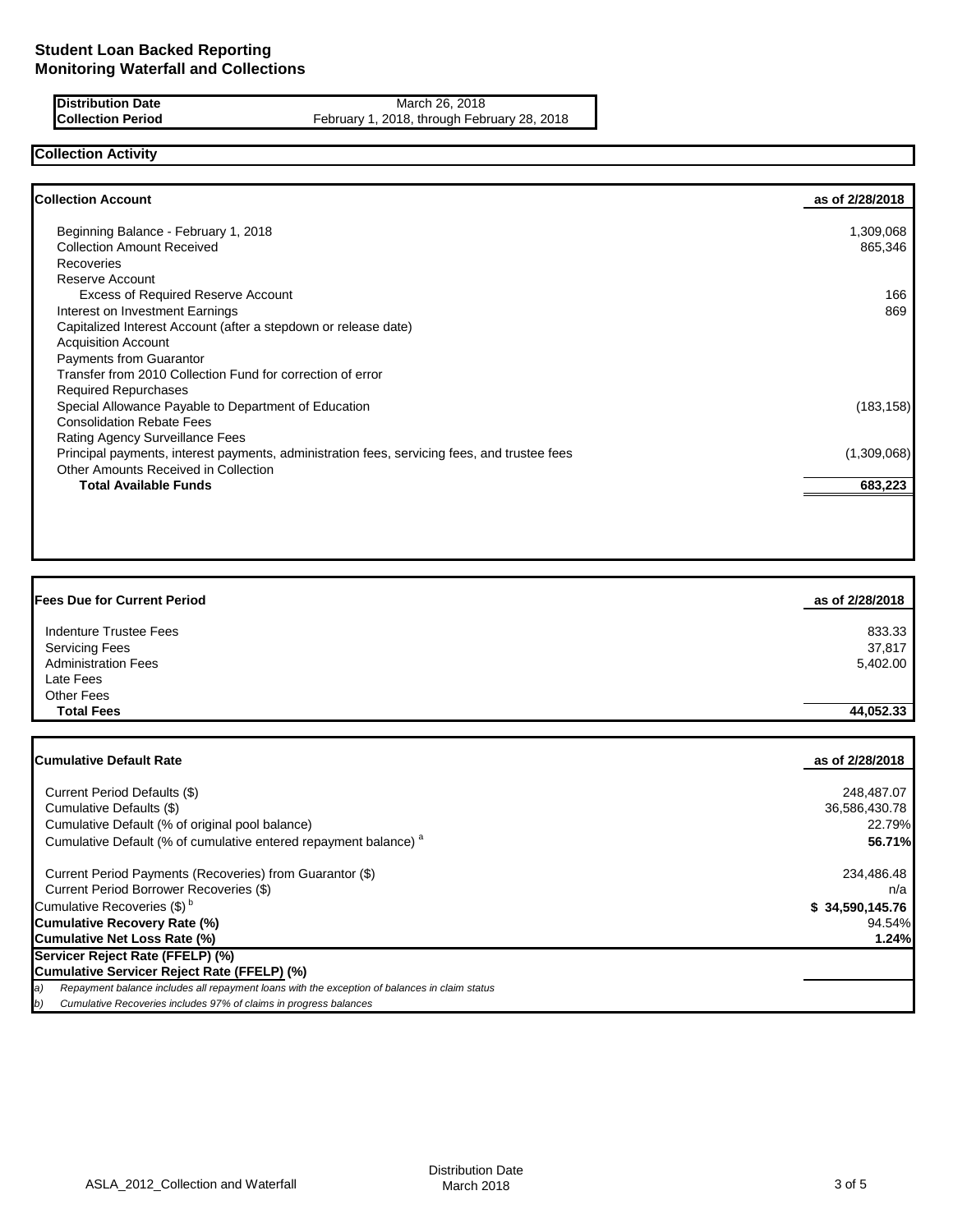**Distribution Date** March 26, 2018<br>**Collection Period** February 1, 2018, through February 1, 2018, through February 1, 2018, through February 1, 2018, through February 1, 2018, through February 1, 2018, through February 1, February 1, 2018, through February 28, 2018

# **Collection Activity**

| as of 2/28/2018 | <b>Collection Account</b>                                                                    |
|-----------------|----------------------------------------------------------------------------------------------|
| 1,309,068       | Beginning Balance - February 1, 2018                                                         |
| 865,346         | <b>Collection Amount Received</b>                                                            |
|                 | Recoveries                                                                                   |
|                 | Reserve Account                                                                              |
| 166             | <b>Excess of Required Reserve Account</b>                                                    |
| 869             | Interest on Investment Earnings                                                              |
|                 | Capitalized Interest Account (after a stepdown or release date)                              |
|                 | <b>Acquisition Account</b>                                                                   |
|                 | <b>Payments from Guarantor</b>                                                               |
|                 | Transfer from 2010 Collection Fund for correction of error                                   |
|                 | <b>Required Repurchases</b>                                                                  |
| (183, 158)      | Special Allowance Payable to Department of Education                                         |
|                 | <b>Consolidation Rebate Fees</b>                                                             |
|                 | Rating Agency Surveillance Fees                                                              |
| (1,309,068)     | Principal payments, interest payments, administration fees, servicing fees, and trustee fees |
|                 | Other Amounts Received in Collection                                                         |
| 683,223         | <b>Total Available Funds</b>                                                                 |

| <b>Fees Due for Current Period</b> | as of 2/28/2018 |
|------------------------------------|-----------------|
| Indenture Trustee Fees             | 833.33          |
| <b>Servicing Fees</b>              | 37,817          |
| <b>Administration Fees</b>         | 5,402.00        |
| Late Fees                          |                 |
| <b>Other Fees</b>                  |                 |
| <b>Total Fees</b>                  | 44,052.33       |

| <b>ICumulative Default Rate</b>                                                                     | as of 2/28/2018 |
|-----------------------------------------------------------------------------------------------------|-----------------|
|                                                                                                     |                 |
| Current Period Defaults (\$)                                                                        | 248.487.07      |
| Cumulative Defaults (\$)                                                                            | 36,586,430.78   |
| Cumulative Default (% of original pool balance)                                                     | 22.79%          |
| Cumulative Default (% of cumulative entered repayment balance) <sup>a</sup>                         | 56.71%          |
| Current Period Payments (Recoveries) from Guarantor (\$)                                            | 234,486.48      |
| Current Period Borrower Recoveries (\$)                                                             | n/a             |
| Cumulative Recoveries (\$) <sup>b</sup>                                                             | \$34,590,145.76 |
| Cumulative Recovery Rate (%)                                                                        | 94.54%          |
| Cumulative Net Loss Rate (%)                                                                        | 1.24%           |
| Servicer Reject Rate (FFELP) (%)                                                                    |                 |
| Cumulative Servicer Reject Rate (FFELP) (%)                                                         |                 |
| Repayment balance includes all repayment loans with the exception of balances in claim status<br>a) |                 |
| b)<br>Cumulative Recoveries includes 97% of claims in progress balances                             |                 |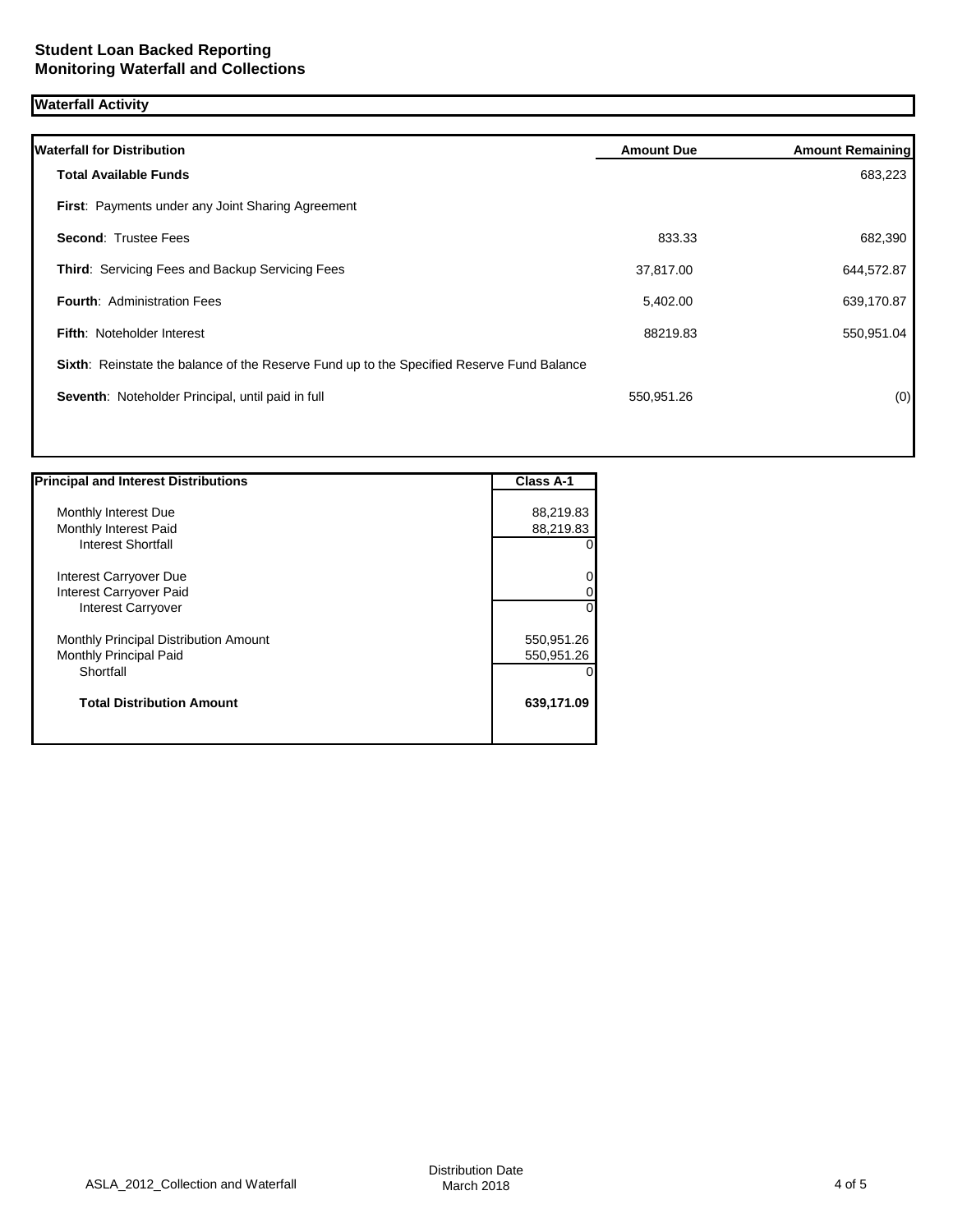## **Waterfall Activity**

| <b>Amount Due</b><br><b>Amount Remaining</b>                                              |
|-------------------------------------------------------------------------------------------|
| 683,223                                                                                   |
|                                                                                           |
| 833.33<br>682,390                                                                         |
| 644,572.87<br>37,817.00                                                                   |
| 639,170.87<br>5,402.00                                                                    |
| 88219.83<br>550,951.04                                                                    |
| Sixth: Reinstate the balance of the Reserve Fund up to the Specified Reserve Fund Balance |
| (0)<br>550,951.26                                                                         |
|                                                                                           |

| <b>Principal and Interest Distributions</b> | Class A-1  |
|---------------------------------------------|------------|
|                                             |            |
| Monthly Interest Due                        | 88,219.83  |
| Monthly Interest Paid                       | 88,219.83  |
| <b>Interest Shortfall</b>                   | 0          |
| Interest Carryover Due                      | 0          |
| Interest Carryover Paid                     | 0          |
| <b>Interest Carryover</b>                   | $\Omega$   |
| Monthly Principal Distribution Amount       | 550,951.26 |
| Monthly Principal Paid                      | 550,951.26 |
| Shortfall                                   | 0          |
| <b>Total Distribution Amount</b>            | 639,171.09 |
|                                             |            |